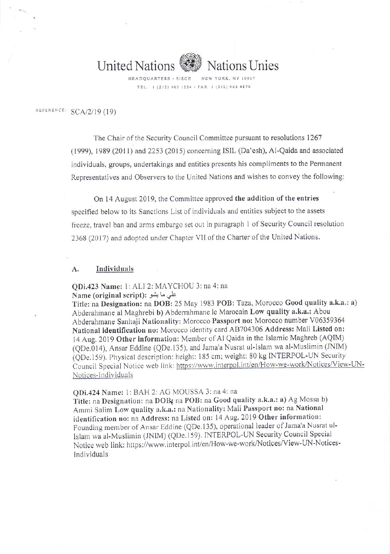

**Vations Unies** 

NEW YORK, NY 10017 HEADQUARTERS · SIEGE TEL.: 1 (212) 963 1234 · FAX: 1 (212) 963 4879

REFERENCE: SCA/2/19 (19)

The Chair of the Security Council Committee pursuant to resolutions 1267 (1999), 1989 (2011) and 2253 (2015) concerning ISIL (Da'esh), Al-Qaida and associated individuals, groups, undertakings and entities presents his compliments to the Permanent Representatives and Observers to the United Nations and wishes to convey the following:

On 14 August 2019, the Committee approved the addition of the entries specified below to its Sanctions List of individuals and entities subject to the assets freeze, travel ban and arms embargo set out in paragraph 1 of Security Council resolution 2368 (2017) and adopted under Chapter VII of the Charter of the United Nations.

#### Individuals A.

QDi.423 Name: 1: ALI 2: MAYCHOU 3: na 4: na Name (original script): علي ما يشو

Title: na Designation: na DOB: 25 May 1983 POB: Taza, Morocco Good quality a.k.a.: a) Abderahmane al Maghrebi b) Abderrahmane le Marocain Low quality a.k.a.: Abou Abderahmane Sanhaji Nationality: Morocco Passport no: Morocco number V06359364 National identification no: Morocco identity card AB704306 Address: Mali Listed on: 14 Aug. 2019 Other information: Member of Al Qaida in the Islamic Maghreb (AQIM) (QDe.014), Ansar Eddine (QDe.135), and Jama'a Nusrat ul-Islam wa al-Muslimin (JNIM) (QDe.159). Physical description: height: 185 cm; weight: 80 kg INTERPOL-UN Security Council Special Notice web link: https://www.interpol.int/en/How-we-work/Notices/View-UN-Notices-Individuals

## QDi.424 Name: 1: BAH 2: AG MOUSSA 3: na 4: na

Title: na Designation: na DOB; na POB: na Good quality a.k.a.: a) Ag Mossa b) Ammi Salim Low quality a.k.a.: na Nationality: Mali Passport no: na National identification no: na Address: na Listed on: 14 Aug. 2019 Other information: Founding member of Ansar Eddine (QDe.135), operational leader of Jama'a Nusrat ul-Islam wa al-Muslimin (JNIM) (QDe.159). INTERPOL-UN Security Council Special Notice web link: https://www.interpol.int/en/How-we-work/Notices/View-UN-Notices-Individuals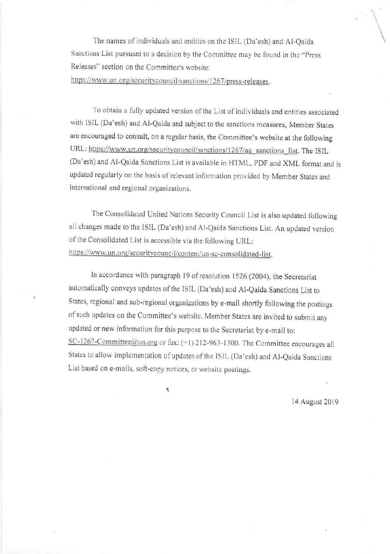The names of individuals and entities on the ISIL (Da'esh) and Al-Qaida Sanctions List pursuant to a decision by the Committee may be found in the "Press Releases" section on the Committee's website:

https://www.un.org/securitycouncil/sanctions/1267/press-releases.

To obtain a fully updated version of the List of individuals and entities associated with ISIL (Da'esh) and Al-Qaida and subject to the sanctions measures, Member States are encouraged to consult, on a regular basis, the Committee's website at the following URL: https://www.un.org/securitycouncil/sanctions/1267/aq\_sanctions\_list. The ISIL (Da'esh) and Al-Qaida Sanctions List is available in HTML, PDF and XML format and is updated regularly on the basis of relevant information provided by Member States and international and regional organizations.

The Consolidated United Nations Security Council List is also updated following all changes made to the ISIL (Da'esh) and Al-Qaida Sanctions List. An updated version of the Consolidated List is accessible via the following URL: https://www.un.org/securitycouncil/content/un-sc-consolidated-list.

In accordance with paragraph 19 of resolution 1526 (2004), the Secretariat automatically conveys updates of the ISIL (Da'esh) and Al-Qaida Sanctions List to States, regional and sub-regional organizations by e-mail shortly following the postings of such updates on the Committee's website. Member States are invited to submit any updated or new information for this purpose to the Secretariat by e-mail to: SC-1267-Committee@un.org or fax: (+1) 212-963-1300. The Committee encourages all States to allow implementation of updates of the ISIL (Da'esh) and Al-Qaida Sanctions List based on e-mails, soft-copy notices, or website postings.

Ï

14 August 2019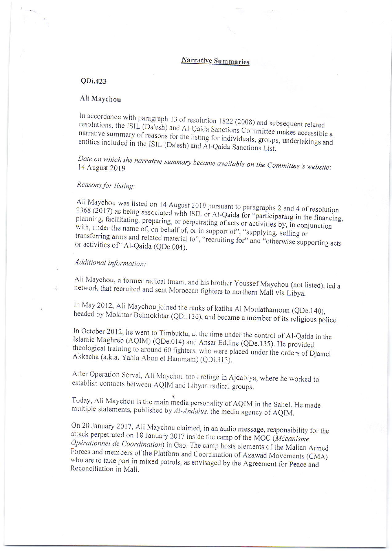# **Narrative Summaries**

### QDi.423

### Ali Maychou

In accordance with paragraph 13 of resolution 1822 (2008) and subsequent related resolutions, the ISIL (Da'esh) and Al-Qaida Sanctions Committee makes accessible a narrative summary of reasons for the listing for individuals, groups, undertakings and entities included in the ISIL (Da'esh) and Al-Qaida Sanctions List.

Date on which the narrative summary became available on the Committee's website: 14 August 2019

# Reasons for listing:

Ali Maychou was listed on 14 August 2019 pursuant to paragraphs 2 and 4 of resolution 2368 (2017) as being associated with ISIL or Al-Qaida for "participating in the financing, planning, facilitating, preparing, or perpetrating of acts or activities by, in conjunction with, under the name of, on behalf of, or in support of", "supplying, selling or transferring arms and related material to", "recruiting for" and "otherwise supporting acts or activities of" Al-Qaida (QDe.004).

# Additional information:

Ali Maychou, a former radical imam, and his brother Youssef Maychou (not listed), led a network that recruited and sent Moroccan fighters to northern Mali via Libya.

In May 2012, Ali Maychou joined the ranks of katiba Al Moulathamoun (QDe.140), headed by Mokhtar Belmokhtar (QDi.136), and became a member of its religious police.

In October 2012, he went to Timbuktu, at the time under the control of Al-Qaida in the Islamic Maghreb (AQIM) (QDe.014) and Ansar Eddine (QDe.135). He provided theological training to around 60 fighters, who were placed under the orders of Djamel Akkacha (a.k.a. Yahia Abou el Hammam) (QDi.313).

After Operation Serval, Ali Maychou took refuge in Ajdabiya, where he worked to establish contacts between AQIM and Libyan radical groups.

Today, Ali Maychou is the main media personality of AQIM in the Sahel. He made multiple statements, published by Al-Andalus, the media agency of AQIM.

On 20 January 2017, Ali Maychou claimed, in an audio message, responsibility for the attack perpetrated on 18 January 2017 inside the camp of the MOC (Mécanisme Opérationnel de Coordination) in Gao. The camp hosts elements of the Malian Armed Forces and members of the Platform and Coordination of Azawad Movements (CMA) who are to take part in mixed patrols, as envisaged by the Agreement for Peace and Reconciliation in Mali.